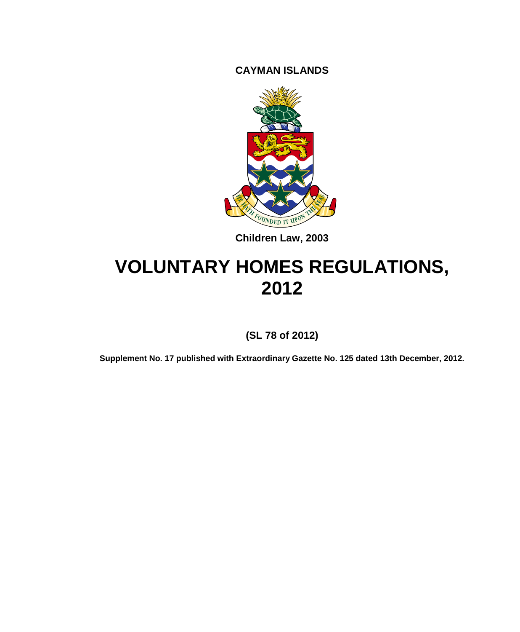**CAYMAN ISLANDS**



**Children Law, 2003**

# **VOLUNTARY HOMES REGULATIONS, 2012**

**(SL 78 of 2012)**

**Supplement No. 17 published with Extraordinary Gazette No. 125 dated 13th December, 2012.**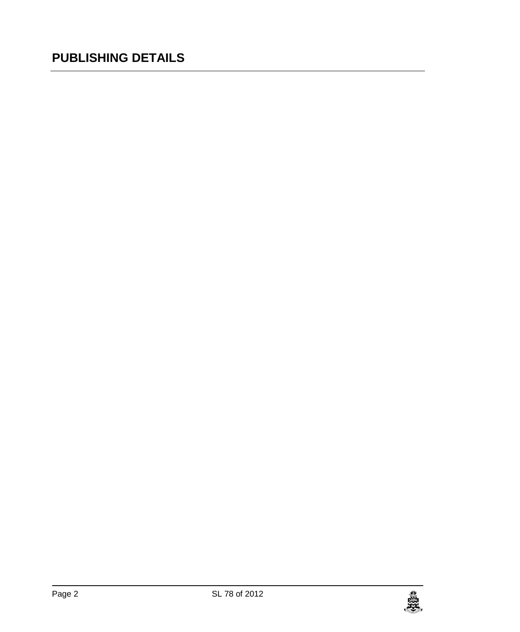# **PUBLISHING DETAILS**

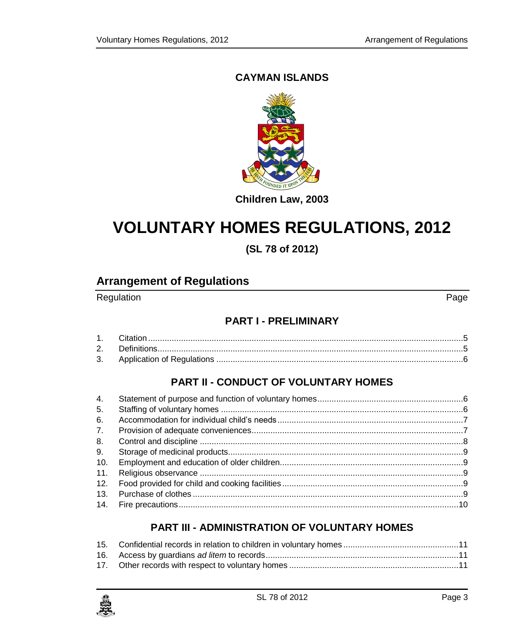### **CAYMAN ISLANDS**



### **Children Law, 2003**

# **VOLUNTARY HOMES REGULATIONS, 2012**

**(SL 78 of 2012)**

### **Arrangement of Regulations**

Regulation **Page** 

### **PART I - [PRELIMINARY](#page-4-0)**

### **PART II - [CONDUCT OF VOLUNTARY HOMES](#page-5-1)**

| 4.             |  |
|----------------|--|
| 5.             |  |
| 6.             |  |
| 7 <sub>1</sub> |  |
| 8.             |  |
| 9.             |  |
| 10.            |  |
| 11.            |  |
| 12.            |  |
| 13.            |  |
|                |  |

### **PART III - [ADMINISTRATION OF VOLUNTARY HOMES](#page-10-0)**

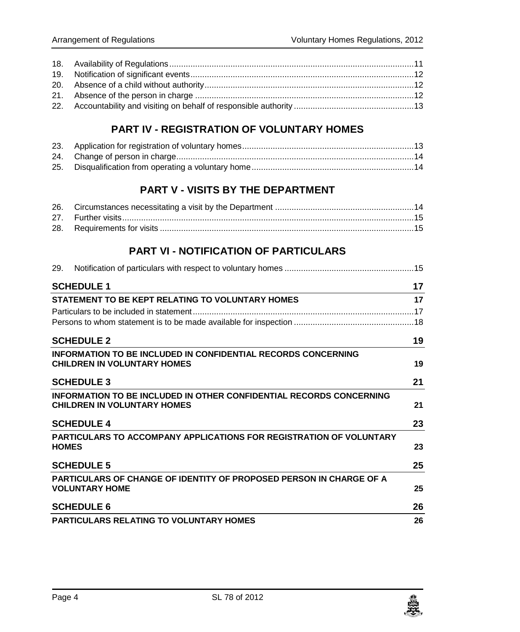### **PART IV - [REGISTRATION OF VOLUNTARY HOMES](#page-12-1)**

## **PART V - [VISITS BY THE DEPARTMENT](#page-13-2)**

### **PART VI - [NOTIFICATION OF PARTICULARS](#page-14-2)**

| 29. |                                                                                                                  |    |
|-----|------------------------------------------------------------------------------------------------------------------|----|
|     | <b>SCHEDULE 1</b>                                                                                                | 17 |
|     | STATEMENT TO BE KEPT RELATING TO VOLUNTARY HOMES                                                                 | 17 |
|     |                                                                                                                  |    |
|     |                                                                                                                  |    |
|     | <b>SCHEDULE 2</b>                                                                                                | 19 |
|     | <b>INFORMATION TO BE INCLUDED IN CONFIDENTIAL RECORDS CONCERNING</b><br><b>CHILDREN IN VOLUNTARY HOMES</b>       | 19 |
|     | <b>SCHEDULE 3</b>                                                                                                | 21 |
|     | <b>INFORMATION TO BE INCLUDED IN OTHER CONFIDENTIAL RECORDS CONCERNING</b><br><b>CHILDREN IN VOLUNTARY HOMES</b> | 21 |
|     | <b>SCHEDULE 4</b>                                                                                                | 23 |
|     | <b>PARTICULARS TO ACCOMPANY APPLICATIONS FOR REGISTRATION OF VOLUNTARY</b><br><b>HOMES</b>                       | 23 |
|     | <b>SCHEDULE 5</b>                                                                                                | 25 |
|     | <b>PARTICULARS OF CHANGE OF IDENTITY OF PROPOSED PERSON IN CHARGE OF A</b><br><b>VOLUNTARY HOME</b>              | 25 |
|     | <b>SCHEDULE 6</b>                                                                                                | 26 |
|     | <b>PARTICULARS RELATING TO VOLUNTARY HOMES</b>                                                                   | 26 |

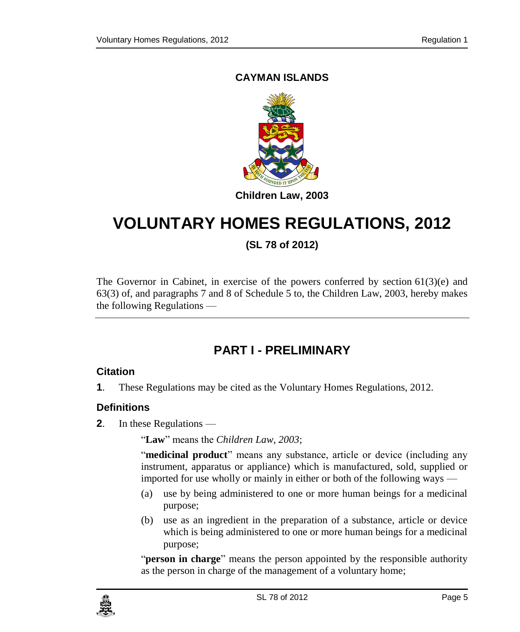### **CAYMAN ISLANDS**



# **VOLUNTARY HOMES REGULATIONS, 2012**

**(SL 78 of 2012)**

The Governor in Cabinet, in exercise of the powers conferred by section  $61(3)(e)$  and 63(3) of, and paragraphs 7 and 8 of Schedule 5 to, the Children Law, 2003, hereby makes the following Regulations —

# **PART I - PRELIMINARY**

### <span id="page-4-1"></span><span id="page-4-0"></span>**1. Citation**

**1**. These Regulations may be cited as the Voluntary Homes Regulations, 2012.

### <span id="page-4-2"></span>**2. Definitions**

**2**. In these Regulations —

"**Law**" means the *Children Law, 2003*;

"**medicinal product**" means any substance, article or device (including any instrument, apparatus or appliance) which is manufactured, sold, supplied or imported for use wholly or mainly in either or both of the following ways —

- (a) use by being administered to one or more human beings for a medicinal purpose;
- (b) use as an ingredient in the preparation of a substance, article or device which is being administered to one or more human beings for a medicinal purpose;

"**person in charge**" means the person appointed by the responsible authority as the person in charge of the management of a voluntary home;

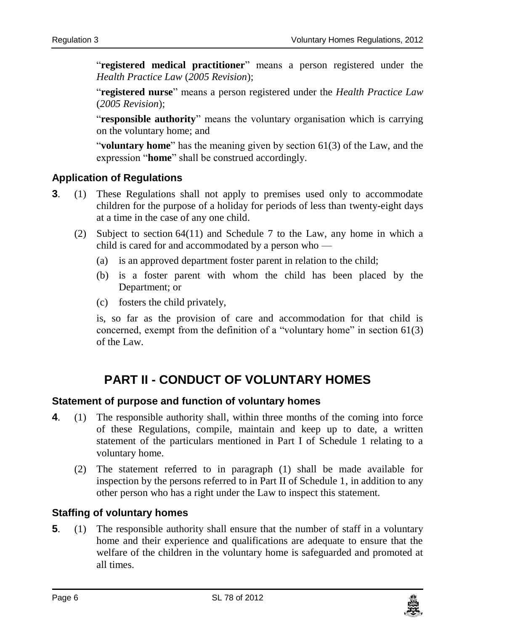"**registered medical practitioner**" means a person registered under the *Health Practice Law* (*2005 Revision*);

"**registered nurse**" means a person registered under the *Health Practice Law* (*2005 Revision*);

"**responsible authority**" means the voluntary organisation which is carrying on the voluntary home; and

"**voluntary home**" has the meaning given by section 61(3) of the Law, and the expression "**home**" shall be construed accordingly.

### <span id="page-5-0"></span>**3. Application of Regulations**

- **3**. (1) These Regulations shall not apply to premises used only to accommodate children for the purpose of a holiday for periods of less than twenty-eight days at a time in the case of any one child.
	- (2) Subject to section 64(11) and Schedule 7 to the Law, any home in which a child is cared for and accommodated by a person who —
		- (a) is an approved department foster parent in relation to the child;
		- (b) is a foster parent with whom the child has been placed by the Department; or
		- (c) fosters the child privately,

is, so far as the provision of care and accommodation for that child is concerned, exempt from the definition of a "voluntary home" in section  $61(3)$ of the Law.

# **PART II - CONDUCT OF VOLUNTARY HOMES**

### <span id="page-5-2"></span><span id="page-5-1"></span>**4. Statement of purpose and function of voluntary homes**

- **4**. (1) The responsible authority shall, within three months of the coming into force of these Regulations, compile, maintain and keep up to date, a written statement of the particulars mentioned in Part I of Schedule 1 relating to a voluntary home.
	- (2) The statement referred to in paragraph (1) shall be made available for inspection by the persons referred to in Part II of Schedule 1, in addition to any other person who has a right under the Law to inspect this statement.

### <span id="page-5-3"></span>**5. Staffing of voluntary homes**

**5**. (1) The responsible authority shall ensure that the number of staff in a voluntary home and their experience and qualifications are adequate to ensure that the welfare of the children in the voluntary home is safeguarded and promoted at all times.

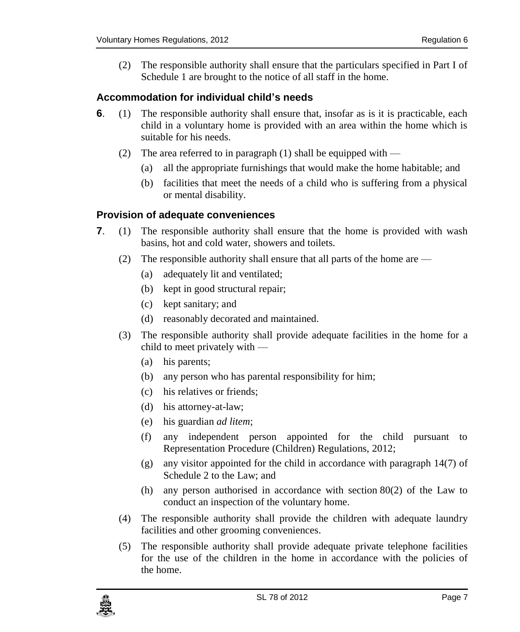(2) The responsible authority shall ensure that the particulars specified in Part I of Schedule 1 are brought to the notice of all staff in the home.

### <span id="page-6-0"></span>**6. Accommodation for individual child's needs**

- **6**. (1) The responsible authority shall ensure that, insofar as is it is practicable, each child in a voluntary home is provided with an area within the home which is suitable for his needs.
	- (2) The area referred to in paragraph  $(1)$  shall be equipped with
		- (a) all the appropriate furnishings that would make the home habitable; and
		- (b) facilities that meet the needs of a child who is suffering from a physical or mental disability.

#### <span id="page-6-1"></span>**7. Provision of adequate conveniences**

- **7**. (1) The responsible authority shall ensure that the home is provided with wash basins, hot and cold water, showers and toilets.
	- (2) The responsible authority shall ensure that all parts of the home are
		- (a) adequately lit and ventilated;
		- (b) kept in good structural repair;
		- (c) kept sanitary; and
		- (d) reasonably decorated and maintained.
	- (3) The responsible authority shall provide adequate facilities in the home for a child to meet privately with —
		- (a) his parents;
		- (b) any person who has parental responsibility for him;
		- (c) his relatives or friends;
		- (d) his attorney-at-law;
		- (e) his guardian *ad litem*;
		- (f) any independent person appointed for the child pursuant to Representation Procedure (Children) Regulations, 2012;
		- (g) any visitor appointed for the child in accordance with paragraph 14(7) of Schedule 2 to the Law; and
		- (h) any person authorised in accordance with section 80(2) of the Law to conduct an inspection of the voluntary home.
	- (4) The responsible authority shall provide the children with adequate laundry facilities and other grooming conveniences.
	- (5) The responsible authority shall provide adequate private telephone facilities for the use of the children in the home in accordance with the policies of the home.

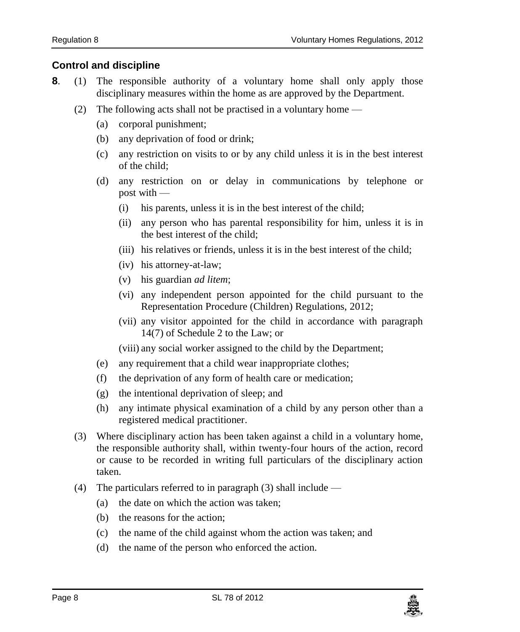### <span id="page-7-0"></span>**8. Control and discipline**

- **8**. (1) The responsible authority of a voluntary home shall only apply those disciplinary measures within the home as are approved by the Department.
	- (2) The following acts shall not be practised in a voluntary home
		- (a) corporal punishment;
		- (b) any deprivation of food or drink;
		- (c) any restriction on visits to or by any child unless it is in the best interest of the child;
		- (d) any restriction on or delay in communications by telephone or post with —
			- (i) his parents, unless it is in the best interest of the child;
			- (ii) any person who has parental responsibility for him, unless it is in the best interest of the child;
			- (iii) his relatives or friends, unless it is in the best interest of the child;
			- (iv) his attorney-at-law;
			- (v) his guardian *ad litem*;
			- (vi) any independent person appointed for the child pursuant to the Representation Procedure (Children) Regulations, 2012;
			- (vii) any visitor appointed for the child in accordance with paragraph 14(7) of Schedule 2 to the Law; or

(viii) any social worker assigned to the child by the Department;

- (e) any requirement that a child wear inappropriate clothes;
- (f) the deprivation of any form of health care or medication;
- (g) the intentional deprivation of sleep; and
- (h) any intimate physical examination of a child by any person other than a registered medical practitioner.
- (3) Where disciplinary action has been taken against a child in a voluntary home, the responsible authority shall, within twenty-four hours of the action, record or cause to be recorded in writing full particulars of the disciplinary action taken.
- (4) The particulars referred to in paragraph (3) shall include
	- (a) the date on which the action was taken;
	- (b) the reasons for the action;
	- (c) the name of the child against whom the action was taken; and
	- (d) the name of the person who enforced the action.

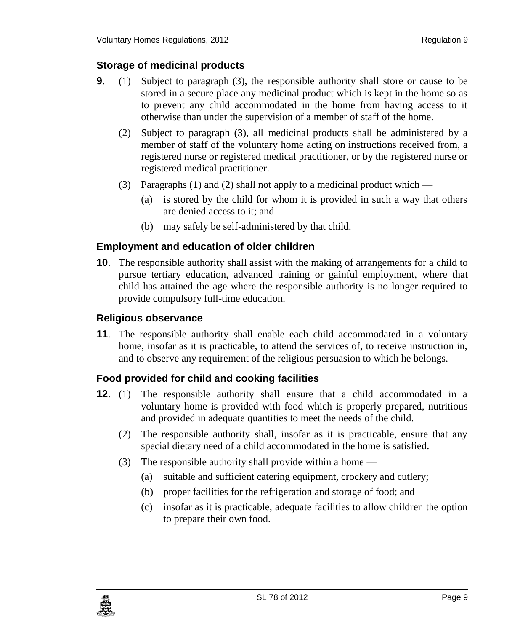### <span id="page-8-0"></span>**9. Storage of medicinal products**

- **9**. (1) Subject to paragraph (3), the responsible authority shall store or cause to be stored in a secure place any medicinal product which is kept in the home so as to prevent any child accommodated in the home from having access to it otherwise than under the supervision of a member of staff of the home.
	- (2) Subject to paragraph (3), all medicinal products shall be administered by a member of staff of the voluntary home acting on instructions received from, a registered nurse or registered medical practitioner, or by the registered nurse or registered medical practitioner.
	- (3) Paragraphs (1) and (2) shall not apply to a medicinal product which
		- (a) is stored by the child for whom it is provided in such a way that others are denied access to it; and
		- (b) may safely be self-administered by that child.

### <span id="page-8-1"></span>**10. Employment and education of older children**

**10**. The responsible authority shall assist with the making of arrangements for a child to pursue tertiary education, advanced training or gainful employment, where that child has attained the age where the responsible authority is no longer required to provide compulsory full-time education.

### <span id="page-8-2"></span>**11. Religious observance**

**11**. The responsible authority shall enable each child accommodated in a voluntary home, insofar as it is practicable, to attend the services of, to receive instruction in, and to observe any requirement of the religious persuasion to which he belongs.

### <span id="page-8-3"></span>**12. Food provided for child and cooking facilities**

- **12**. (1) The responsible authority shall ensure that a child accommodated in a voluntary home is provided with food which is properly prepared, nutritious and provided in adequate quantities to meet the needs of the child.
	- (2) The responsible authority shall, insofar as it is practicable, ensure that any special dietary need of a child accommodated in the home is satisfied.
	- (3) The responsible authority shall provide within a home
		- (a) suitable and sufficient catering equipment, crockery and cutlery;
		- (b) proper facilities for the refrigeration and storage of food; and
		- (c) insofar as it is practicable, adequate facilities to allow children the option to prepare their own food.

<span id="page-8-4"></span>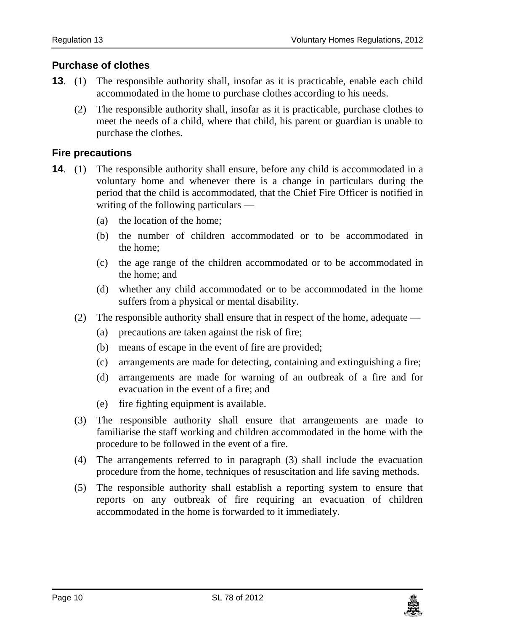### **Purchase of clothes**

- **13**. (1) The responsible authority shall, insofar as it is practicable, enable each child accommodated in the home to purchase clothes according to his needs.
	- (2) The responsible authority shall, insofar as it is practicable, purchase clothes to meet the needs of a child, where that child, his parent or guardian is unable to purchase the clothes.

### <span id="page-9-0"></span>**14. Fire precautions**

- **14.** (1) The responsible authority shall ensure, before any child is accommodated in a voluntary home and whenever there is a change in particulars during the period that the child is accommodated, that the Chief Fire Officer is notified in writing of the following particulars —
	- (a) the location of the home;
	- (b) the number of children accommodated or to be accommodated in the home;
	- (c) the age range of the children accommodated or to be accommodated in the home; and
	- (d) whether any child accommodated or to be accommodated in the home suffers from a physical or mental disability.
	- (2) The responsible authority shall ensure that in respect of the home, adequate
		- (a) precautions are taken against the risk of fire;
		- (b) means of escape in the event of fire are provided;
		- (c) arrangements are made for detecting, containing and extinguishing a fire;
		- (d) arrangements are made for warning of an outbreak of a fire and for evacuation in the event of a fire; and
		- (e) fire fighting equipment is available.
	- (3) The responsible authority shall ensure that arrangements are made to familiarise the staff working and children accommodated in the home with the procedure to be followed in the event of a fire.
	- (4) The arrangements referred to in paragraph (3) shall include the evacuation procedure from the home, techniques of resuscitation and life saving methods.
	- (5) The responsible authority shall establish a reporting system to ensure that reports on any outbreak of fire requiring an evacuation of children accommodated in the home is forwarded to it immediately.

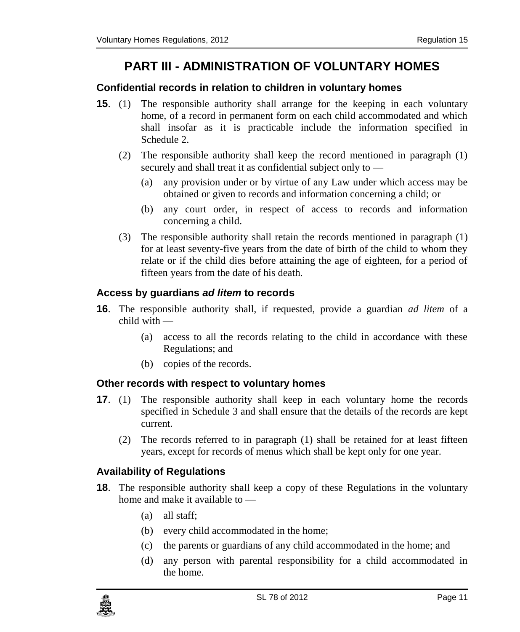# **PART III - ADMINISTRATION OF VOLUNTARY HOMES**

#### <span id="page-10-1"></span><span id="page-10-0"></span>**15. Confidential records in relation to children in voluntary homes**

- **15**. (1) The responsible authority shall arrange for the keeping in each voluntary home, of a record in permanent form on each child accommodated and which shall insofar as it is practicable include the information specified in Schedule 2.
	- (2) The responsible authority shall keep the record mentioned in paragraph (1) securely and shall treat it as confidential subject only to —
		- (a) any provision under or by virtue of any Law under which access may be obtained or given to records and information concerning a child; or
		- (b) any court order, in respect of access to records and information concerning a child.
	- (3) The responsible authority shall retain the records mentioned in paragraph (1) for at least seventy-five years from the date of birth of the child to whom they relate or if the child dies before attaining the age of eighteen, for a period of fifteen years from the date of his death.

### <span id="page-10-2"></span>**16. Access by guardians** *ad litem* **to records**

- **16**. The responsible authority shall, if requested, provide a guardian *ad litem* of a child with —
	- (a) access to all the records relating to the child in accordance with these Regulations; and
	- (b) copies of the records.

### <span id="page-10-3"></span>**17. Other records with respect to voluntary homes**

- **17.** (1) The responsible authority shall keep in each voluntary home the records specified in Schedule 3 and shall ensure that the details of the records are kept current.
	- (2) The records referred to in paragraph (1) shall be retained for at least fifteen years, except for records of menus which shall be kept only for one year.

### <span id="page-10-4"></span>**18. Availability of Regulations**

- **18**. The responsible authority shall keep a copy of these Regulations in the voluntary home and make it available to —
	- (a) all staff;
	- (b) every child accommodated in the home;
	- (c) the parents or guardians of any child accommodated in the home; and
	- (d) any person with parental responsibility for a child accommodated in the home.

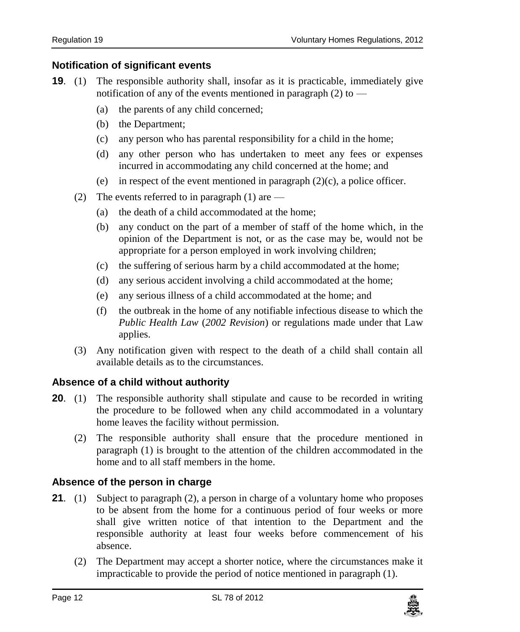### <span id="page-11-0"></span>**19. Notification of significant events**

- **19**. (1) The responsible authority shall, insofar as it is practicable, immediately give notification of any of the events mentioned in paragraph (2) to —
	- (a) the parents of any child concerned;
	- (b) the Department;
	- (c) any person who has parental responsibility for a child in the home;
	- (d) any other person who has undertaken to meet any fees or expenses incurred in accommodating any child concerned at the home; and
	- (e) in respect of the event mentioned in paragraph  $(2)(c)$ , a police officer.
	- (2) The events referred to in paragraph (1) are  $-$ 
		- (a) the death of a child accommodated at the home;
		- (b) any conduct on the part of a member of staff of the home which, in the opinion of the Department is not, or as the case may be, would not be appropriate for a person employed in work involving children;
		- (c) the suffering of serious harm by a child accommodated at the home;
		- (d) any serious accident involving a child accommodated at the home;
		- (e) any serious illness of a child accommodated at the home; and
		- (f) the outbreak in the home of any notifiable infectious disease to which the *Public Health Law* (*2002 Revision*) or regulations made under that Law applies.
	- (3) Any notification given with respect to the death of a child shall contain all available details as to the circumstances.

### <span id="page-11-1"></span>**20. Absence of a child without authority**

- **20.** (1) The responsible authority shall stipulate and cause to be recorded in writing the procedure to be followed when any child accommodated in a voluntary home leaves the facility without permission.
	- (2) The responsible authority shall ensure that the procedure mentioned in paragraph (1) is brought to the attention of the children accommodated in the home and to all staff members in the home.

### <span id="page-11-2"></span>**21. Absence of the person in charge**

- **21.** (1) Subject to paragraph (2), a person in charge of a voluntary home who proposes to be absent from the home for a continuous period of four weeks or more shall give written notice of that intention to the Department and the responsible authority at least four weeks before commencement of his absence.
	- (2) The Department may accept a shorter notice, where the circumstances make it impracticable to provide the period of notice mentioned in paragraph (1).

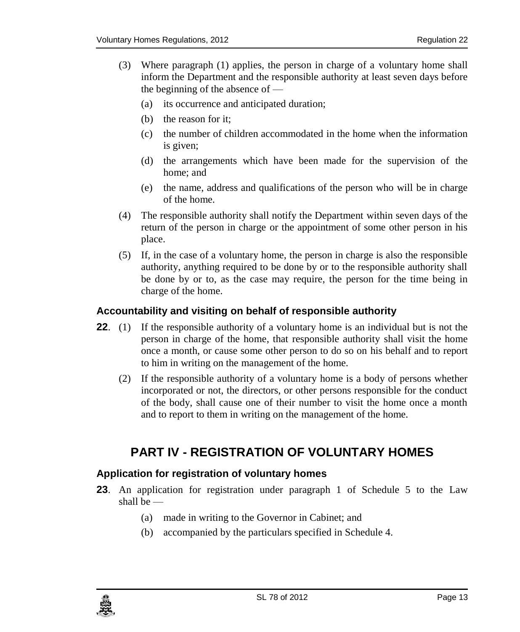- (3) Where paragraph (1) applies, the person in charge of a voluntary home shall inform the Department and the responsible authority at least seven days before the beginning of the absence of —
	- (a) its occurrence and anticipated duration;
	- (b) the reason for it;
	- (c) the number of children accommodated in the home when the information is given;
	- (d) the arrangements which have been made for the supervision of the home; and
	- (e) the name, address and qualifications of the person who will be in charge of the home.
- (4) The responsible authority shall notify the Department within seven days of the return of the person in charge or the appointment of some other person in his place.
- (5) If, in the case of a voluntary home, the person in charge is also the responsible authority, anything required to be done by or to the responsible authority shall be done by or to, as the case may require, the person for the time being in charge of the home.

#### <span id="page-12-0"></span>**22. Accountability and visiting on behalf of responsible authority**

- **22.** (1) If the responsible authority of a voluntary home is an individual but is not the person in charge of the home, that responsible authority shall visit the home once a month, or cause some other person to do so on his behalf and to report to him in writing on the management of the home.
	- (2) If the responsible authority of a voluntary home is a body of persons whether incorporated or not, the directors, or other persons responsible for the conduct of the body, shall cause one of their number to visit the home once a month and to report to them in writing on the management of the home.

### <span id="page-12-1"></span>**PART IV - REGISTRATION OF VOLUNTARY HOMES**

### <span id="page-12-2"></span>**23. Application for registration of voluntary homes**

- **23**. An application for registration under paragraph 1 of Schedule 5 to the Law shall be —
	- (a) made in writing to the Governor in Cabinet; and
	- (b) accompanied by the particulars specified in Schedule 4.

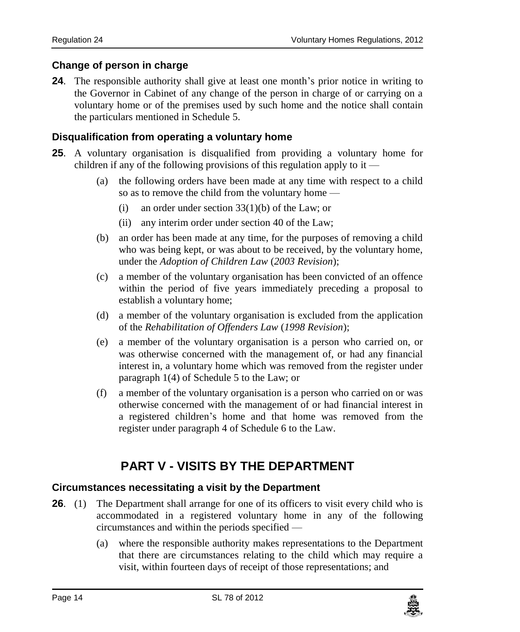### <span id="page-13-0"></span>**24. Change of person in charge**

**24**. The responsible authority shall give at least one month's prior notice in writing to the Governor in Cabinet of any change of the person in charge of or carrying on a voluntary home or of the premises used by such home and the notice shall contain the particulars mentioned in Schedule 5.

### <span id="page-13-1"></span>**25. Disqualification from operating a voluntary home**

- **25**. A voluntary organisation is disqualified from providing a voluntary home for children if any of the following provisions of this regulation apply to it —
	- (a) the following orders have been made at any time with respect to a child so as to remove the child from the voluntary home —
		- (i) an order under section  $33(1)(b)$  of the Law; or
		- (ii) any interim order under section 40 of the Law;
	- (b) an order has been made at any time, for the purposes of removing a child who was being kept, or was about to be received, by the voluntary home, under the *Adoption of Children Law* (*2003 Revision*);
	- (c) a member of the voluntary organisation has been convicted of an offence within the period of five years immediately preceding a proposal to establish a voluntary home;
	- (d) a member of the voluntary organisation is excluded from the application of the *Rehabilitation of Offenders Law* (*1998 Revision*);
	- (e) a member of the voluntary organisation is a person who carried on, or was otherwise concerned with the management of, or had any financial interest in, a voluntary home which was removed from the register under paragraph 1(4) of Schedule 5 to the Law; or
	- (f) a member of the voluntary organisation is a person who carried on or was otherwise concerned with the management of or had financial interest in a registered children's home and that home was removed from the register under paragraph 4 of Schedule 6 to the Law.

# **PART V - VISITS BY THE DEPARTMENT**

### <span id="page-13-3"></span><span id="page-13-2"></span>**26. Circumstances necessitating a visit by the Department**

- **26.** (1) The Department shall arrange for one of its officers to visit every child who is accommodated in a registered voluntary home in any of the following circumstances and within the periods specified —
	- (a) where the responsible authority makes representations to the Department that there are circumstances relating to the child which may require a visit, within fourteen days of receipt of those representations; and

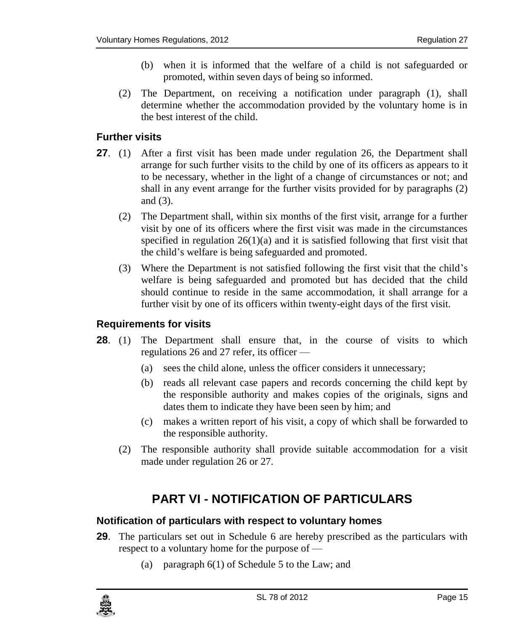- (b) when it is informed that the welfare of a child is not safeguarded or promoted, within seven days of being so informed.
- (2) The Department, on receiving a notification under paragraph (1), shall determine whether the accommodation provided by the voluntary home is in the best interest of the child.

#### <span id="page-14-0"></span>**27. Further visits**

- **27.** (1) After a first visit has been made under regulation 26, the Department shall arrange for such further visits to the child by one of its officers as appears to it to be necessary, whether in the light of a change of circumstances or not; and shall in any event arrange for the further visits provided for by paragraphs (2) and (3).
	- (2) The Department shall, within six months of the first visit, arrange for a further visit by one of its officers where the first visit was made in the circumstances specified in regulation  $26(1)(a)$  and it is satisfied following that first visit that the child's welfare is being safeguarded and promoted.
	- (3) Where the Department is not satisfied following the first visit that the child's welfare is being safeguarded and promoted but has decided that the child should continue to reside in the same accommodation, it shall arrange for a further visit by one of its officers within twenty-eight days of the first visit.

#### <span id="page-14-1"></span>**28. Requirements for visits**

- **28**. (1) The Department shall ensure that, in the course of visits to which regulations 26 and 27 refer, its officer —
	- (a) sees the child alone, unless the officer considers it unnecessary;
	- (b) reads all relevant case papers and records concerning the child kept by the responsible authority and makes copies of the originals, signs and dates them to indicate they have been seen by him; and
	- (c) makes a written report of his visit, a copy of which shall be forwarded to the responsible authority.
	- (2) The responsible authority shall provide suitable accommodation for a visit made under regulation 26 or 27.

# **PART VI - NOTIFICATION OF PARTICULARS**

#### <span id="page-14-3"></span><span id="page-14-2"></span>**29. Notification of particulars with respect to voluntary homes**

- **29**. The particulars set out in Schedule 6 are hereby prescribed as the particulars with respect to a voluntary home for the purpose of —
	- (a) paragraph 6(1) of Schedule 5 to the Law; and

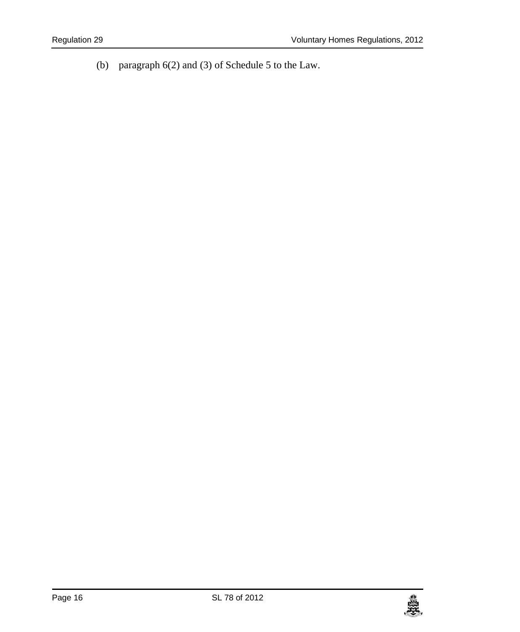(b) paragraph 6(2) and (3) of Schedule 5 to the Law.

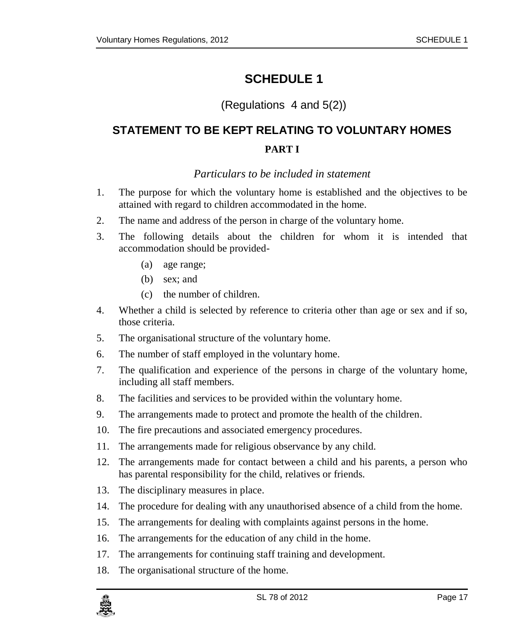### <span id="page-16-0"></span>(Regulations 4 and 5(2))

# <span id="page-16-1"></span>**STATEMENT TO BE KEPT RELATING TO VOLUNTARY HOMES PART I**

### *Particulars to be included in statement*

- <span id="page-16-2"></span>1. The purpose for which the voluntary home is established and the objectives to be attained with regard to children accommodated in the home.
- 2. The name and address of the person in charge of the voluntary home.
- 3. The following details about the children for whom it is intended that accommodation should be provided-
	- (a) age range;
	- (b) sex; and
	- (c) the number of children.
- 4. Whether a child is selected by reference to criteria other than age or sex and if so, those criteria.
- 5. The organisational structure of the voluntary home.
- 6. The number of staff employed in the voluntary home.
- 7. The qualification and experience of the persons in charge of the voluntary home, including all staff members.
- 8. The facilities and services to be provided within the voluntary home.
- 9. The arrangements made to protect and promote the health of the children.
- 10. The fire precautions and associated emergency procedures.
- 11. The arrangements made for religious observance by any child.
- 12. The arrangements made for contact between a child and his parents, a person who has parental responsibility for the child, relatives or friends.
- 13. The disciplinary measures in place.
- 14. The procedure for dealing with any unauthorised absence of a child from the home.
- 15. The arrangements for dealing with complaints against persons in the home.
- 16. The arrangements for the education of any child in the home.
- 17. The arrangements for continuing staff training and development.
- 18. The organisational structure of the home.

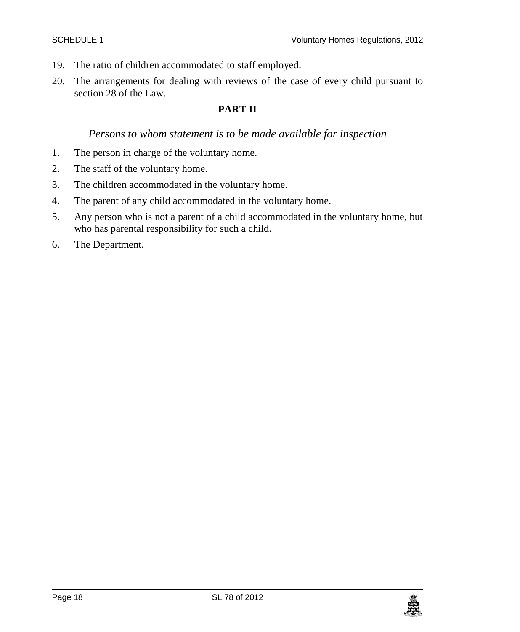- 19. The ratio of children accommodated to staff employed.
- 20. The arrangements for dealing with reviews of the case of every child pursuant to section 28 of the Law.

#### **PART II**

#### *Persons to whom statement is to be made available for inspection*

- <span id="page-17-0"></span>1. The person in charge of the voluntary home.
- 2. The staff of the voluntary home.
- 3. The children accommodated in the voluntary home.
- 4. The parent of any child accommodated in the voluntary home.
- 5. Any person who is not a parent of a child accommodated in the voluntary home, but who has parental responsibility for such a child.
- 6. The Department.

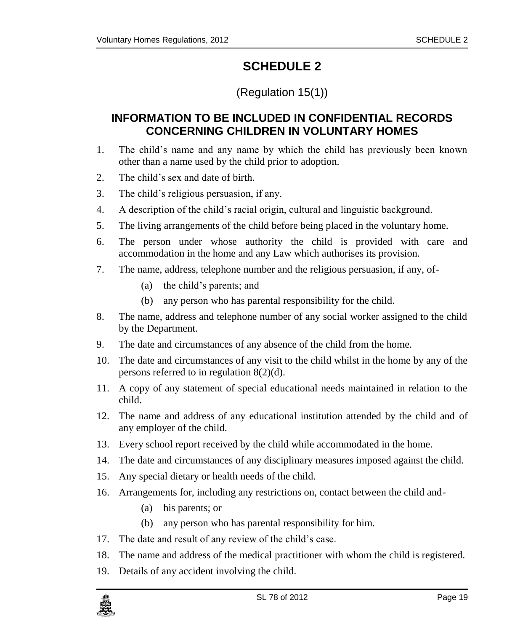### (Regulation 15(1))

### <span id="page-18-1"></span><span id="page-18-0"></span>**INFORMATION TO BE INCLUDED IN CONFIDENTIAL RECORDS CONCERNING CHILDREN IN VOLUNTARY HOMES**

- 1. The child's name and any name by which the child has previously been known other than a name used by the child prior to adoption.
- 2. The child's sex and date of birth.
- 3. The child's religious persuasion, if any.
- 4. A description of the child's racial origin, cultural and linguistic background.
- 5. The living arrangements of the child before being placed in the voluntary home.
- 6. The person under whose authority the child is provided with care and accommodation in the home and any Law which authorises its provision.
- 7. The name, address, telephone number and the religious persuasion, if any, of-
	- (a) the child's parents; and
	- (b) any person who has parental responsibility for the child.
- 8. The name, address and telephone number of any social worker assigned to the child by the Department.
- 9. The date and circumstances of any absence of the child from the home.
- 10. The date and circumstances of any visit to the child whilst in the home by any of the persons referred to in regulation 8(2)(d).
- 11. A copy of any statement of special educational needs maintained in relation to the child.
- 12. The name and address of any educational institution attended by the child and of any employer of the child.
- 13. Every school report received by the child while accommodated in the home.
- 14. The date and circumstances of any disciplinary measures imposed against the child.
- 15. Any special dietary or health needs of the child.
- 16. Arrangements for, including any restrictions on, contact between the child and-
	- (a) his parents; or
	- (b) any person who has parental responsibility for him.
- 17. The date and result of any review of the child's case.
- 18. The name and address of the medical practitioner with whom the child is registered.
- 19. Details of any accident involving the child.

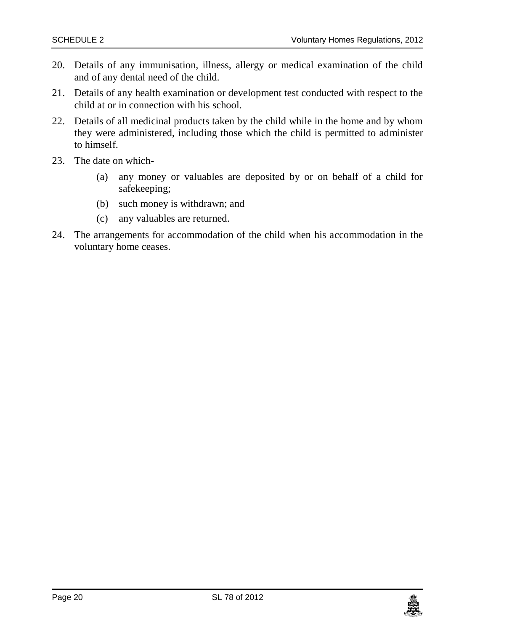- 20. Details of any immunisation, illness, allergy or medical examination of the child and of any dental need of the child.
- 21. Details of any health examination or development test conducted with respect to the child at or in connection with his school.
- 22. Details of all medicinal products taken by the child while in the home and by whom they were administered, including those which the child is permitted to administer to himself.
- 23. The date on which-
	- (a) any money or valuables are deposited by or on behalf of a child for safekeeping;
	- (b) such money is withdrawn; and
	- (c) any valuables are returned.
- 24. The arrangements for accommodation of the child when his accommodation in the voluntary home ceases.

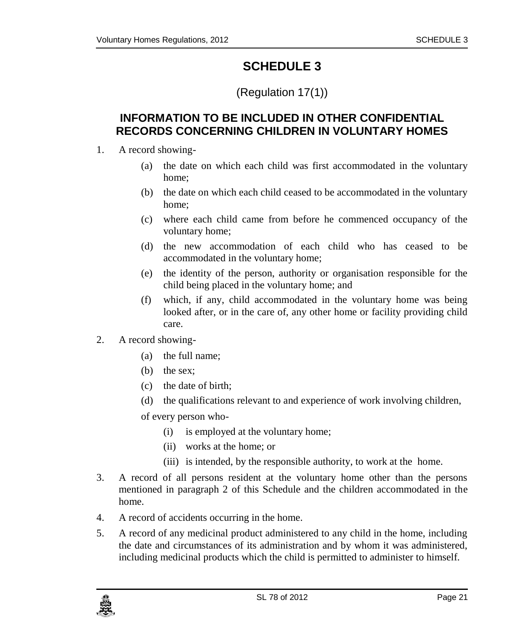### (Regulation 17(1))

### <span id="page-20-1"></span><span id="page-20-0"></span>**INFORMATION TO BE INCLUDED IN OTHER CONFIDENTIAL RECORDS CONCERNING CHILDREN IN VOLUNTARY HOMES**

- 1. A record showing-
	- (a) the date on which each child was first accommodated in the voluntary home;
	- (b) the date on which each child ceased to be accommodated in the voluntary home;
	- (c) where each child came from before he commenced occupancy of the voluntary home;
	- (d) the new accommodation of each child who has ceased to be accommodated in the voluntary home;
	- (e) the identity of the person, authority or organisation responsible for the child being placed in the voluntary home; and
	- (f) which, if any, child accommodated in the voluntary home was being looked after, or in the care of, any other home or facility providing child care.
- 2. A record showing-
	- (a) the full name;
	- (b) the sex;
	- (c) the date of birth;
	- (d) the qualifications relevant to and experience of work involving children,

of every person who-

- (i) is employed at the voluntary home;
- (ii) works at the home; or
- (iii) is intended, by the responsible authority, to work at the home.
- 3. A record of all persons resident at the voluntary home other than the persons mentioned in paragraph 2 of this Schedule and the children accommodated in the home.
- 4. A record of accidents occurring in the home.
- 5. A record of any medicinal product administered to any child in the home, including the date and circumstances of its administration and by whom it was administered, including medicinal products which the child is permitted to administer to himself.

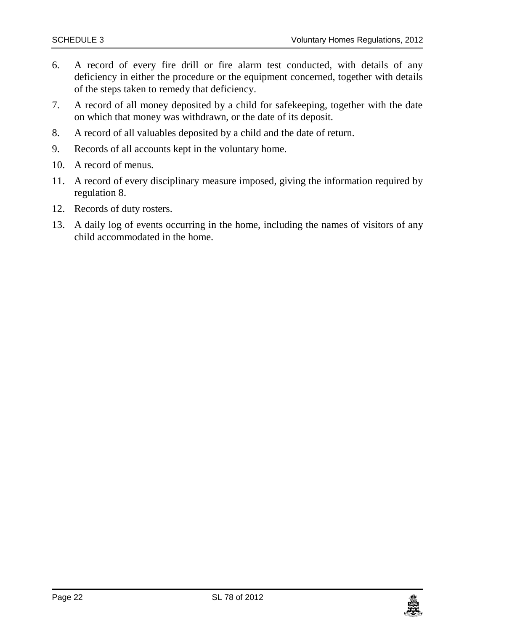- 6. A record of every fire drill or fire alarm test conducted, with details of any deficiency in either the procedure or the equipment concerned, together with details of the steps taken to remedy that deficiency.
- 7. A record of all money deposited by a child for safekeeping, together with the date on which that money was withdrawn, or the date of its deposit.
- 8. A record of all valuables deposited by a child and the date of return.
- 9. Records of all accounts kept in the voluntary home.
- 10. A record of menus.
- 11. A record of every disciplinary measure imposed, giving the information required by regulation 8.
- 12. Records of duty rosters.
- 13. A daily log of events occurring in the home, including the names of visitors of any child accommodated in the home.

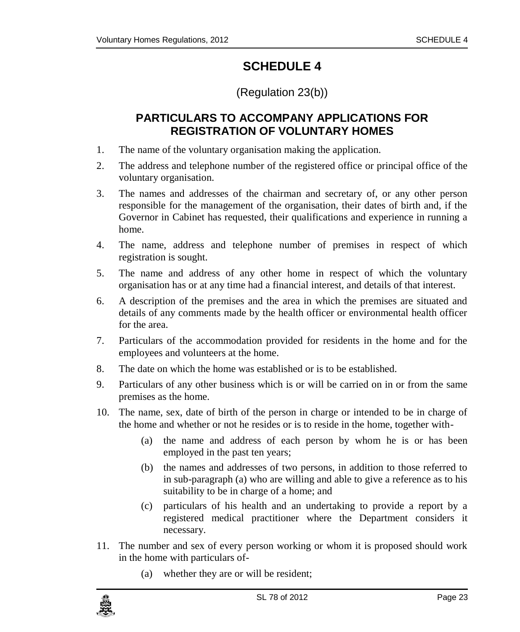### (Regulation 23(b))

### <span id="page-22-0"></span>**PARTICULARS TO ACCOMPANY APPLICATIONS FOR REGISTRATION OF VOLUNTARY HOMES**

- <span id="page-22-1"></span>1. The name of the voluntary organisation making the application.
- 2. The address and telephone number of the registered office or principal office of the voluntary organisation.
- 3. The names and addresses of the chairman and secretary of, or any other person responsible for the management of the organisation, their dates of birth and, if the Governor in Cabinet has requested, their qualifications and experience in running a home.
- 4. The name, address and telephone number of premises in respect of which registration is sought.
- 5. The name and address of any other home in respect of which the voluntary organisation has or at any time had a financial interest, and details of that interest.
- 6. A description of the premises and the area in which the premises are situated and details of any comments made by the health officer or environmental health officer for the area.
- 7. Particulars of the accommodation provided for residents in the home and for the employees and volunteers at the home.
- 8. The date on which the home was established or is to be established.
- 9. Particulars of any other business which is or will be carried on in or from the same premises as the home.
- 10. The name, sex, date of birth of the person in charge or intended to be in charge of the home and whether or not he resides or is to reside in the home, together with-
	- (a) the name and address of each person by whom he is or has been employed in the past ten years;
	- (b) the names and addresses of two persons, in addition to those referred to in sub-paragraph (a) who are willing and able to give a reference as to his suitability to be in charge of a home; and
	- (c) particulars of his health and an undertaking to provide a report by a registered medical practitioner where the Department considers it necessary.
- 11. The number and sex of every person working or whom it is proposed should work in the home with particulars of-
	- (a) whether they are or will be resident;

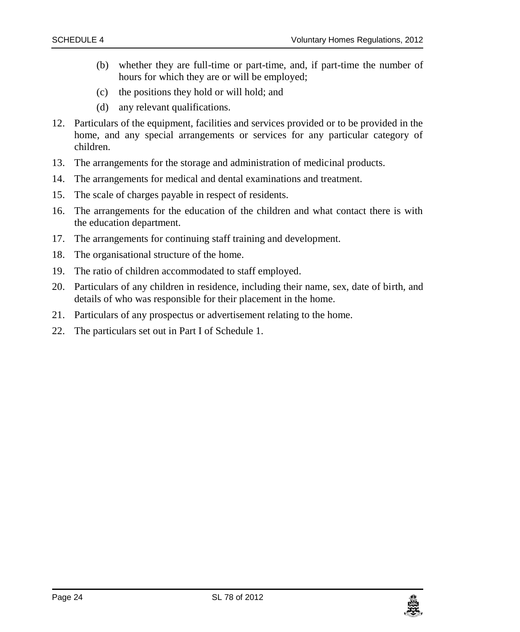- (b) whether they are full-time or part-time, and, if part-time the number of hours for which they are or will be employed;
- (c) the positions they hold or will hold; and
- (d) any relevant qualifications.
- 12. Particulars of the equipment, facilities and services provided or to be provided in the home, and any special arrangements or services for any particular category of children.
- 13. The arrangements for the storage and administration of medicinal products.
- 14. The arrangements for medical and dental examinations and treatment.
- 15. The scale of charges payable in respect of residents.
- 16. The arrangements for the education of the children and what contact there is with the education department.
- 17. The arrangements for continuing staff training and development.
- 18. The organisational structure of the home.
- 19. The ratio of children accommodated to staff employed.
- 20. Particulars of any children in residence, including their name, sex, date of birth, and details of who was responsible for their placement in the home.
- 21. Particulars of any prospectus or advertisement relating to the home.
- 22. The particulars set out in Part I of Schedule 1.

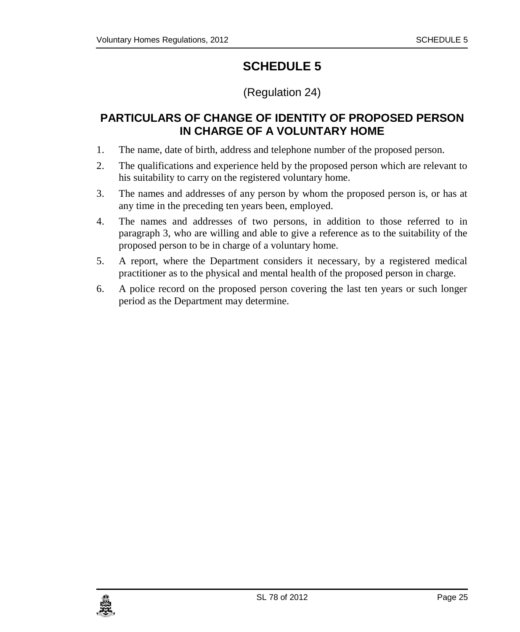### (Regulation 24)

### <span id="page-24-1"></span><span id="page-24-0"></span>**PARTICULARS OF CHANGE OF IDENTITY OF PROPOSED PERSON IN CHARGE OF A VOLUNTARY HOME**

- 1. The name, date of birth, address and telephone number of the proposed person.
- 2. The qualifications and experience held by the proposed person which are relevant to his suitability to carry on the registered voluntary home.
- 3. The names and addresses of any person by whom the proposed person is, or has at any time in the preceding ten years been, employed.
- 4. The names and addresses of two persons, in addition to those referred to in paragraph 3, who are willing and able to give a reference as to the suitability of the proposed person to be in charge of a voluntary home.
- 5. A report, where the Department considers it necessary, by a registered medical practitioner as to the physical and mental health of the proposed person in charge.
- 6. A police record on the proposed person covering the last ten years or such longer period as the Department may determine.

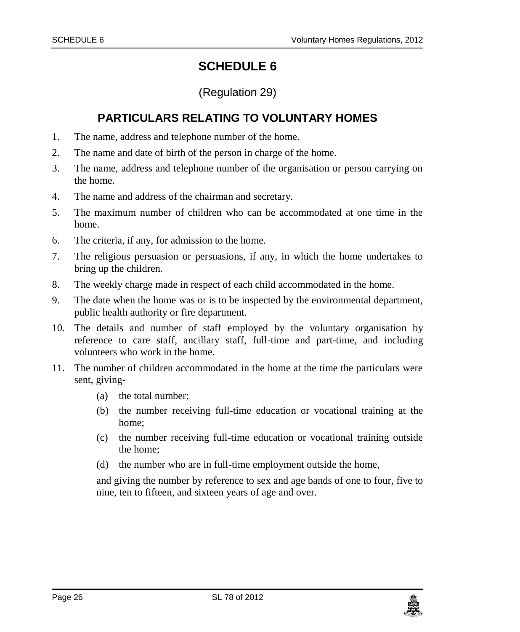### (Regulation 29)

### <span id="page-25-0"></span>**PARTICULARS RELATING TO VOLUNTARY HOMES**

- <span id="page-25-1"></span>1. The name, address and telephone number of the home.
- 2. The name and date of birth of the person in charge of the home.
- 3. The name, address and telephone number of the organisation or person carrying on the home.
- 4. The name and address of the chairman and secretary.
- 5. The maximum number of children who can be accommodated at one time in the home.
- 6. The criteria, if any, for admission to the home.
- 7. The religious persuasion or persuasions, if any, in which the home undertakes to bring up the children.
- 8. The weekly charge made in respect of each child accommodated in the home.
- 9. The date when the home was or is to be inspected by the environmental department, public health authority or fire department.
- 10. The details and number of staff employed by the voluntary organisation by reference to care staff, ancillary staff, full-time and part-time, and including volunteers who work in the home.
- 11. The number of children accommodated in the home at the time the particulars were sent, giving-
	- (a) the total number;
	- (b) the number receiving full-time education or vocational training at the home;
	- (c) the number receiving full-time education or vocational training outside the home;
	- (d) the number who are in full-time employment outside the home,

and giving the number by reference to sex and age bands of one to four, five to nine, ten to fifteen, and sixteen years of age and over.